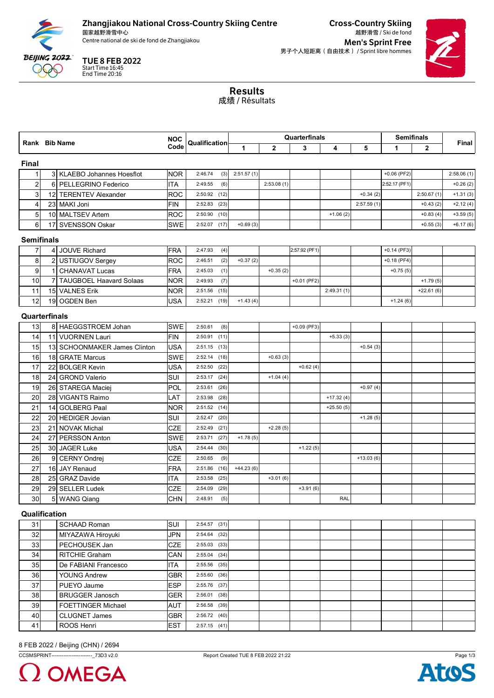

## Zhangjiakou National Cross-Country Skiing Centre

国家越野滑雪中心



Cross-Country Skiing 越野滑雪 / Ski de fond Centre national de ski de fond de Zhangjiakou de and the skip of the set of the Men's Sprint Free 男子个人短距离(自由技术) / Sprint libre hommes



Results 成绩 / Résultats

|                   |     |                                | <b>NOC</b> | Qualification<br>Code |      | Quarterfinals |                |               |             |             | <b>Semifinals</b> |              |            |
|-------------------|-----|--------------------------------|------------|-----------------------|------|---------------|----------------|---------------|-------------|-------------|-------------------|--------------|------------|
|                   |     | Rank Bib Name                  |            |                       |      | $\mathbf{1}$  | $\overline{2}$ | 3             | 4           | 5           | 1                 | $\mathbf{2}$ | Final      |
| <b>Final</b>      |     |                                |            |                       |      |               |                |               |             |             |                   |              |            |
| 1                 |     | 3 KLAEBO Johannes Hoesflot     | <b>NOR</b> | 2:46.74               | (3)  | 2:51.57(1)    |                |               |             |             | $+0.06$ (PF2)     |              | 2:58.06(1) |
| $\overline{2}$    |     | 6 PELLEGRINO Federico          | <b>ITA</b> | 2:49.55               | (6)  |               | 2:53.08(1)     |               |             |             | 2:52.17 (PF1)     |              | $+0.26(2)$ |
| 3                 |     | 12 TERENTEV Alexander          | <b>ROC</b> | 2:50.92               | (12) |               |                |               |             | $+0.34(2)$  |                   | 2:50.67(1)   | $+1.31(3)$ |
| 4                 |     | 23 MAKI Joni                   | <b>FIN</b> | 2:52.83               | (23) |               |                |               |             | 2:57.59(1)  |                   | $+0.43(2)$   | $+2.12(4)$ |
| 5                 |     | 10 MALTSEV Artem               | <b>ROC</b> | 2:50.90               | (10) |               |                |               | $+1.06(2)$  |             |                   | $+0.83(4)$   | $+3.59(5)$ |
| 6                 | 17I | SVENSSON Oskar                 | SWE        | 2:52.07               | (17) | $+0.69(3)$    |                |               |             |             |                   | $+0.55(3)$   | $+6.17(6)$ |
|                   |     |                                |            |                       |      |               |                |               |             |             |                   |              |            |
| <b>Semifinals</b> |     |                                |            |                       |      |               |                |               |             |             |                   |              |            |
| $\overline{7}$    |     | 4 JOUVE Richard                | <b>FRA</b> | 2:47.93               | (4)  |               |                | 2:57.92 (PF1) |             |             | $+0.14$ (PF3)     |              |            |
| 8                 |     | USTIUGOV Sergey                | <b>ROC</b> | 2:46.51               | (2)  | $+0.37(2)$    |                |               |             |             | $+0.18$ (PF4)     |              |            |
| $\boldsymbol{9}$  |     | <b>CHANAVAT Lucas</b>          | <b>FRA</b> | 2:45.03               | (1)  |               | $+0.35(2)$     |               |             |             | $+0.75(5)$        |              |            |
| 10                |     | <b>TAUGBOEL Haavard Solaas</b> | NOR.       | 2:49.93               | (7)  |               |                | +0.01 (PF2)   |             |             |                   | $+1.79(5)$   |            |
| 11                |     | 15 VALNES Erik                 | NOR.       | 2:51.56               | (15) |               |                |               | 2:49.31(1)  |             |                   | $+22.61(6)$  |            |
| 12                |     | 19 OGDEN Ben                   | <b>USA</b> | 2:52.21               | (19) | $+1.43(4)$    |                |               |             |             | $+1.24(6)$        |              |            |
| Quarterfinals     |     |                                |            |                       |      |               |                |               |             |             |                   |              |            |
| 13                |     | 8 HAEGGSTROEM Johan            | <b>SWE</b> | 2:50.61               | (8)  |               |                | +0.09 (PF3)   |             |             |                   |              |            |
| 14                |     | 11 VUORINEN Lauri              | FIN        | 2:50.91               | (11) |               |                |               | $+5.33(3)$  |             |                   |              |            |
| 15                |     | 13 SCHOONMAKER James Clinton   | <b>USA</b> | 2:51.15               | (13) |               |                |               |             | $+0.54(3)$  |                   |              |            |
| 16                |     | 18 GRATE Marcus                | <b>SWE</b> | 2:52.14               | (18) |               | $+0.63(3)$     |               |             |             |                   |              |            |
| 17                | 22  | <b>BOLGER Kevin</b>            | <b>USA</b> | 2:52.50               | (22) |               |                | $+0.62(4)$    |             |             |                   |              |            |
| 18                |     | 24 GROND Valerio               | SUI        | 2:53.17               | (24) |               | $+1.04(4)$     |               |             |             |                   |              |            |
| 19                |     | 26 STAREGA Maciej              | POL        | 2:53.61               | (26) |               |                |               |             | $+0.97(4)$  |                   |              |            |
| 20                |     | 28 VIGANTS Raimo               | LAT        | 2:53.98               | (28) |               |                |               | $+17.32(4)$ |             |                   |              |            |
| 21                | 14  | <b>GOLBERG Paal</b>            | NOR.       | 2:51.52               | (14) |               |                |               | $+25.50(5)$ |             |                   |              |            |
| 22                |     | 20 HEDIGER Jovian              | <b>SUI</b> | 2:52.47               | (20) |               |                |               |             | $+1.28(5)$  |                   |              |            |
| 23                |     | 21 NOVAK Michal                | <b>CZE</b> | 2:52.49               | (21) |               | $+2.28(5)$     |               |             |             |                   |              |            |
| 24                | 27  | <b>PERSSON Anton</b>           | <b>SWE</b> | 2:53.71               | (27) | $+1.78(5)$    |                |               |             |             |                   |              |            |
| 25                |     | 30 JAGER Luke                  | <b>USA</b> | 2:54.44               | (30) |               |                | $+1.22(5)$    |             |             |                   |              |            |
| 26                | 9   | <b>CERNY Ondrej</b>            | <b>CZE</b> | 2:50.65               | (9)  |               |                |               |             | $+13.03(6)$ |                   |              |            |
| 27                |     | 16 JAY Renaud                  | <b>FRA</b> | 2:51.86               | (16) | $+44.23(6)$   |                |               |             |             |                   |              |            |
| 28                | 25  | <b>GRAZ Davide</b>             | ITA        | 2:53.58               | (25) |               | $+3.01(6)$     |               |             |             |                   |              |            |
| 29                |     | 29 SELLER Ludek                | <b>CZE</b> | 2:54.09               | (29) |               |                | $+3.91(6)$    |             |             |                   |              |            |
| 30                |     | 5 WANG Qiang                   | <b>CHN</b> | 2:48.91               | (5)  |               |                |               | RAL         |             |                   |              |            |
|                   |     |                                |            |                       |      |               |                |               |             |             |                   |              |            |
| Qualification     |     |                                |            |                       |      |               |                |               |             |             |                   |              |            |
| 31                |     | <b>SCHAAD Roman</b>            | SUI        | $2:54.57$ (31)        |      |               |                |               |             |             |                   |              |            |
| 32                |     | MIYAZAWA Hiroyuki              | <b>JPN</b> | 2:54.64               | (32) |               |                |               |             |             |                   |              |            |
| 33                |     | PECHOUSEK Jan                  | <b>CZE</b> | 2:55.03               | (33) |               |                |               |             |             |                   |              |            |
| 34                |     | RITCHIE Graham                 | CAN        | 2:55.04               | (34) |               |                |               |             |             |                   |              |            |
| 35                |     | De FABIANI Francesco           | ITA        | 2:55.56               | (35) |               |                |               |             |             |                   |              |            |
| 36                |     | <b>YOUNG Andrew</b>            | GBR.       | 2:55.60               | (36) |               |                |               |             |             |                   |              |            |
| 37                |     | PUEYO Jaume                    | <b>ESP</b> | 2:55.76               | (37) |               |                |               |             |             |                   |              |            |
| 38                |     | <b>BRUGGER Janosch</b>         | <b>GER</b> | 2:56.01               | (38) |               |                |               |             |             |                   |              |            |
| 39                |     | <b>FOETTINGER Michael</b>      | <b>AUT</b> | 2:56.58               | (39) |               |                |               |             |             |                   |              |            |
| 40                |     | <b>CLUGNET James</b>           | <b>GBR</b> | 2:56.72               | (40) |               |                |               |             |             |                   |              |            |
| 41                |     | ROOS Henri                     | <b>EST</b> | $2:57.15$ (41)        |      |               |                |               |             |             |                   |              |            |
|                   |     |                                |            |                       |      |               |                |               |             |             |                   |              |            |

8 FEB 2022 / Beijing (CHN) / 2694



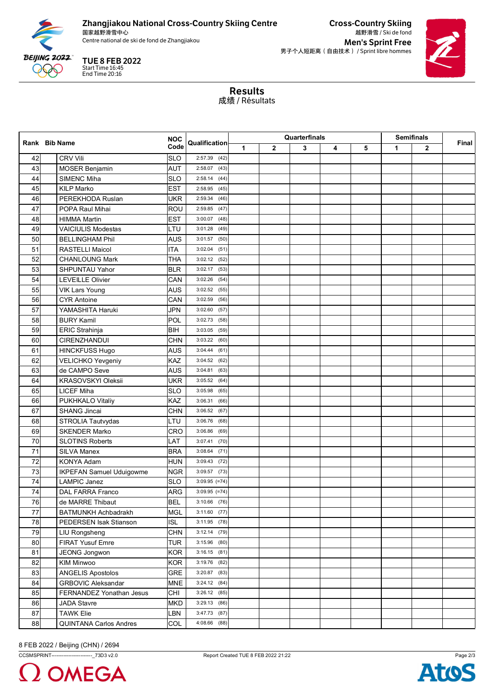

## Zhangjiakou National Cross-Country Skiing Centre

国家越野滑雪中心 Centre national de ski de fond de Zhangjiakou de and the skip of the set of the Men's Sprint Free

TUE 8 FEB 2022 Start Time 16:45 End Time 20:16

Cross-Country Skiing 越野滑雪 / Ski de fond

男子个人短距离(自由技术) / Sprint libre hommes



Results 成绩 / Résultats

|    | Rank Bib Name                   |            |                 | Quarterfinals |   |   |   |   | <b>Semifinals</b> |   |       |
|----|---------------------------------|------------|-----------------|---------------|---|---|---|---|-------------------|---|-------|
|    |                                 | Code       | Qualification   | 1             | 2 | 3 | 4 | 5 | 1                 | 2 | Final |
| 42 | <b>CRV Vili</b>                 | <b>SLO</b> | $2:57.39$ (42)  |               |   |   |   |   |                   |   |       |
| 43 | <b>MOSER Benjamin</b>           | <b>AUT</b> | 2:58.07<br>(43) |               |   |   |   |   |                   |   |       |
| 44 | <b>SIMENC Miha</b>              | <b>SLO</b> | 2:58.14<br>(44) |               |   |   |   |   |                   |   |       |
| 45 | <b>KILP Marko</b>               | <b>EST</b> | 2:58.95<br>(45) |               |   |   |   |   |                   |   |       |
| 46 | PEREKHODA Ruslan                | <b>UKR</b> | 2:59.34<br>(46) |               |   |   |   |   |                   |   |       |
| 47 | POPA Raul Mihai                 | <b>ROU</b> | 2:59.85<br>(47) |               |   |   |   |   |                   |   |       |
| 48 | <b>HIMMA Martin</b>             | <b>EST</b> | 3:00.07<br>(48) |               |   |   |   |   |                   |   |       |
| 49 | <b>VAICIULIS Modestas</b>       | LTU        | 3:01.28<br>(49) |               |   |   |   |   |                   |   |       |
| 50 | <b>BELLINGHAM Phil</b>          | <b>AUS</b> | 3:01.57<br>(50) |               |   |   |   |   |                   |   |       |
| 51 | <b>RASTELLI Maicol</b>          | <b>ITA</b> | 3:02.04<br>(51) |               |   |   |   |   |                   |   |       |
| 52 | <b>CHANLOUNG Mark</b>           | THA        | 3:02.12<br>(52) |               |   |   |   |   |                   |   |       |
| 53 | SHPUNTAU Yahor                  | <b>BLR</b> | 3:02.17<br>(53) |               |   |   |   |   |                   |   |       |
| 54 | <b>LEVEILLE Olivier</b>         | CAN        | 3:02.26<br>(54) |               |   |   |   |   |                   |   |       |
| 55 | <b>VIK Lars Young</b>           | <b>AUS</b> | 3:02.52<br>(55) |               |   |   |   |   |                   |   |       |
| 56 | <b>CYR Antoine</b>              | CAN        | 3:02.59<br>(56) |               |   |   |   |   |                   |   |       |
| 57 | YAMASHITA Haruki                | <b>JPN</b> | 3:02.60<br>(57) |               |   |   |   |   |                   |   |       |
| 58 | <b>BURY Kamil</b>               | POL        | 3:02.73<br>(58) |               |   |   |   |   |                   |   |       |
| 59 | ERIC Strahinja                  | <b>BIH</b> | 3:03.05<br>(59) |               |   |   |   |   |                   |   |       |
| 60 | <b>CIRENZHANDUI</b>             | <b>CHN</b> | 3:03.22<br>(60) |               |   |   |   |   |                   |   |       |
| 61 | <b>HINCKFUSS Hugo</b>           | <b>AUS</b> | 3:04.44<br>(61) |               |   |   |   |   |                   |   |       |
| 62 | VELICHKO Yevgeniy               | KAZ        | 3:04.52<br>(62) |               |   |   |   |   |                   |   |       |
| 63 | de CAMPO Seve                   | <b>AUS</b> | 3:04.81<br>(63) |               |   |   |   |   |                   |   |       |
| 64 | <b>KRASOVSKYI Oleksii</b>       | UKR        | 3:05.52<br>(64) |               |   |   |   |   |                   |   |       |
| 65 | <b>LICEF Miha</b>               | <b>SLO</b> | 3:05.98<br>(65) |               |   |   |   |   |                   |   |       |
| 66 | PUKHKALO Vitaliy                | KAZ        | 3:06.31<br>(66) |               |   |   |   |   |                   |   |       |
| 67 | <b>SHANG Jincai</b>             | <b>CHN</b> | 3:06.52<br>(67) |               |   |   |   |   |                   |   |       |
| 68 | STROLIA Tautvydas               | LTU        | 3:06.76<br>(68) |               |   |   |   |   |                   |   |       |
| 69 | <b>SKENDER Marko</b>            | CRO        | 3:06.86<br>(69) |               |   |   |   |   |                   |   |       |
| 70 | <b>SLOTINS Roberts</b>          | LAT        | 3:07.41<br>(70) |               |   |   |   |   |                   |   |       |
| 71 | <b>SILVA Manex</b>              | <b>BRA</b> | 3:08.64<br>(71) |               |   |   |   |   |                   |   |       |
| 72 | KONYA Adam                      | <b>HUN</b> | $3:09.43$ (72)  |               |   |   |   |   |                   |   |       |
| 73 | <b>IKPEFAN Samuel Uduigowme</b> | <b>NGR</b> | $3:09.57$ (73)  |               |   |   |   |   |                   |   |       |
| 74 | <b>LAMPIC Janez</b>             | <b>SLO</b> | $3:09.95$ (=74) |               |   |   |   |   |                   |   |       |
| 74 | <b>DAL FARRA Franco</b>         | ARG        | $3:09.95$ (=74) |               |   |   |   |   |                   |   |       |
| 76 | de MARRE Thibaut                | <b>BEL</b> | $3:10.66$ (76)  |               |   |   |   |   |                   |   |       |
| 77 | BATMUNKH Achbadrakh             | <b>MGL</b> | $3:11.60$ (77)  |               |   |   |   |   |                   |   |       |
| 78 | PEDERSEN Isak Stianson          | ISL        | $3:11.95$ (78)  |               |   |   |   |   |                   |   |       |
| 79 | LIU Rongsheng                   | <b>CHN</b> | $3:12.14$ (79)  |               |   |   |   |   |                   |   |       |
| 80 | FIRAT Yusuf Emre                | <b>TUR</b> | $3:15.96$ (80)  |               |   |   |   |   |                   |   |       |
| 81 | JEONG Jongwon                   | <b>KOR</b> | $3:16.15$ (81)  |               |   |   |   |   |                   |   |       |
| 82 | <b>KIM Minwoo</b>               | <b>KOR</b> | $3:19.76$ (82)  |               |   |   |   |   |                   |   |       |
| 83 | <b>ANGELIS Apostolos</b>        | <b>GRE</b> | $3:20.87$ (83)  |               |   |   |   |   |                   |   |       |
| 84 | <b>GRBOVIC Aleksandar</b>       | <b>MNE</b> | $3:24.12$ (84)  |               |   |   |   |   |                   |   |       |
| 85 | FERNANDEZ Yonathan Jesus        | CHI        | $3:26.12$ (85)  |               |   |   |   |   |                   |   |       |
| 86 | <b>JADA Stavre</b>              | <b>MKD</b> | 3:29.13(86)     |               |   |   |   |   |                   |   |       |
| 87 | <b>TAWK Elie</b>                | LBN        | $3:47.73$ (87)  |               |   |   |   |   |                   |   |       |
| 88 | <b>QUINTANA Carlos Andres</b>   | COL        | 4:08.66 (88)    |               |   |   |   |   |                   |   |       |

8 FEB 2022 / Beijing (CHN) / 2694